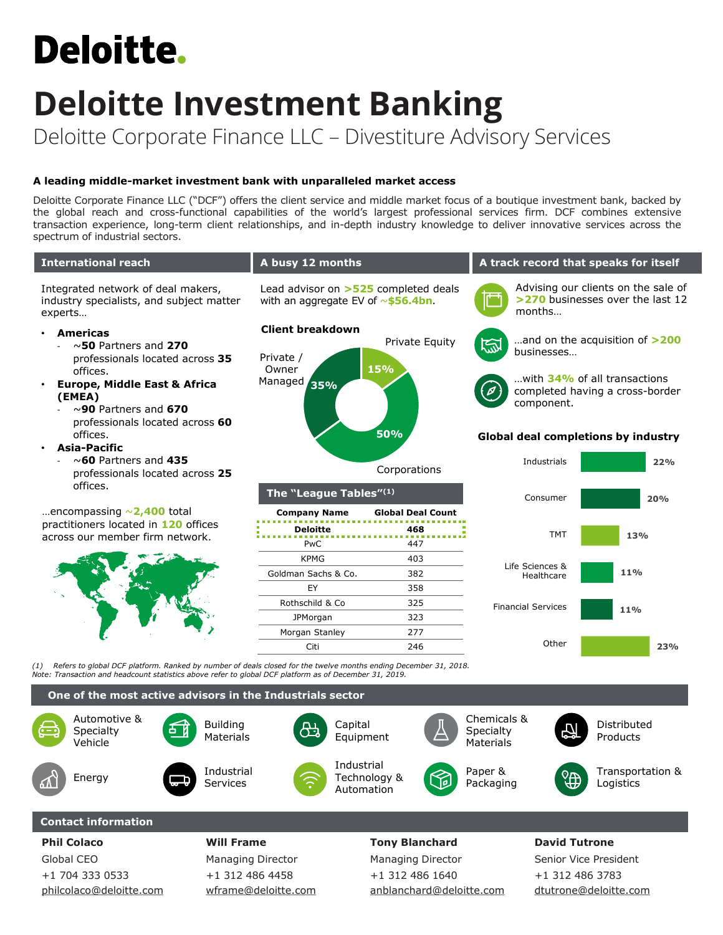# **Deloitte.**

# **Deloitte Investment Banking** Deloitte Corporate Finance LLC – Divestiture Advisory Services

# **A leading middle-market investment bank with unparalleled market access**

Deloitte Corporate Finance LLC ("DCF") offers the client service and middle market focus of a boutique investment bank, backed by the global reach and cross-functional capabilities of the world's largest professional services firm. DCF combines extensive transaction experience, long-term client relationships, and in-depth industry knowledge to deliver innovative services across the spectrum of industrial sectors.